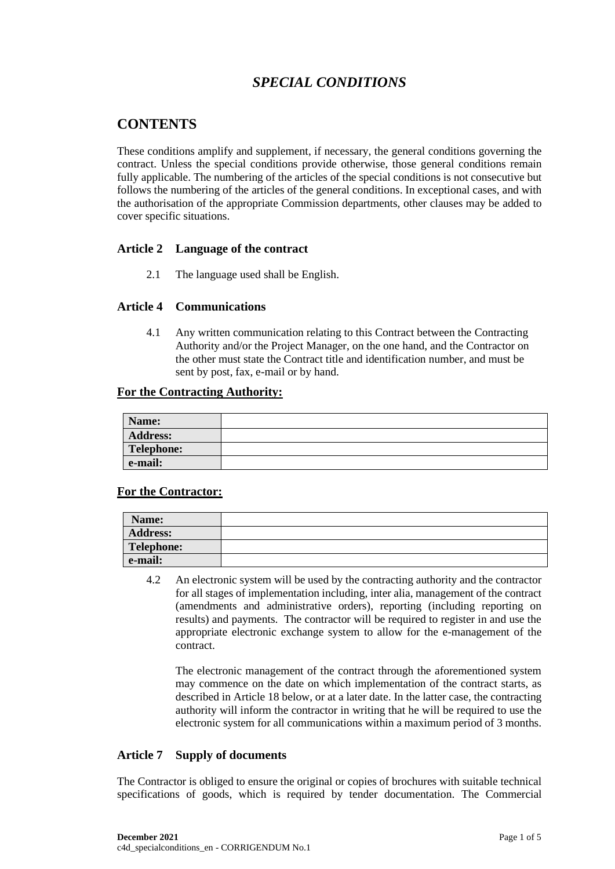# *SPECIAL CONDITIONS*

# **CONTENTS**

These conditions amplify and supplement, if necessary, the general conditions governing the contract. Unless the special conditions provide otherwise, those general conditions remain fully applicable. The numbering of the articles of the special conditions is not consecutive but follows the numbering of the articles of the general conditions. In exceptional cases, and with the authorisation of the appropriate Commission departments, other clauses may be added to cover specific situations.

# **Article 2 Language of the contract**

2.1 The language used shall be English.

# **Article 4 Communications**

4.1 Any written communication relating to this Contract between the Contracting Authority and/or the Project Manager, on the one hand, and the Contractor on the other must state the Contract title and identification number, and must be sent by post, fax, e-mail or by hand.

## **For the Contracting Authority:**

| Name:           |  |
|-----------------|--|
| <b>Address:</b> |  |
| Telephone:      |  |
| e-mail:         |  |

# **For the Contractor:**

| Name:           |  |
|-----------------|--|
| <b>Address:</b> |  |
| Telephone:      |  |
| e-mail:         |  |

4.2 An electronic system will be used by the contracting authority and the contractor for all stages of implementation including, inter alia, management of the contract (amendments and administrative orders), reporting (including reporting on results) and payments. The contractor will be required to register in and use the appropriate electronic exchange system to allow for the e-management of the contract.

The electronic management of the contract through the aforementioned system may commence on the date on which implementation of the contract starts, as described in Article 18 below, or at a later date. In the latter case, the contracting authority will inform the contractor in writing that he will be required to use the electronic system for all communications within a maximum period of 3 months.

# **Article 7 Supply of documents**

The Contractor is obliged to ensure the original or copies of brochures with suitable technical specifications of goods, which is required by tender documentation. The Commercial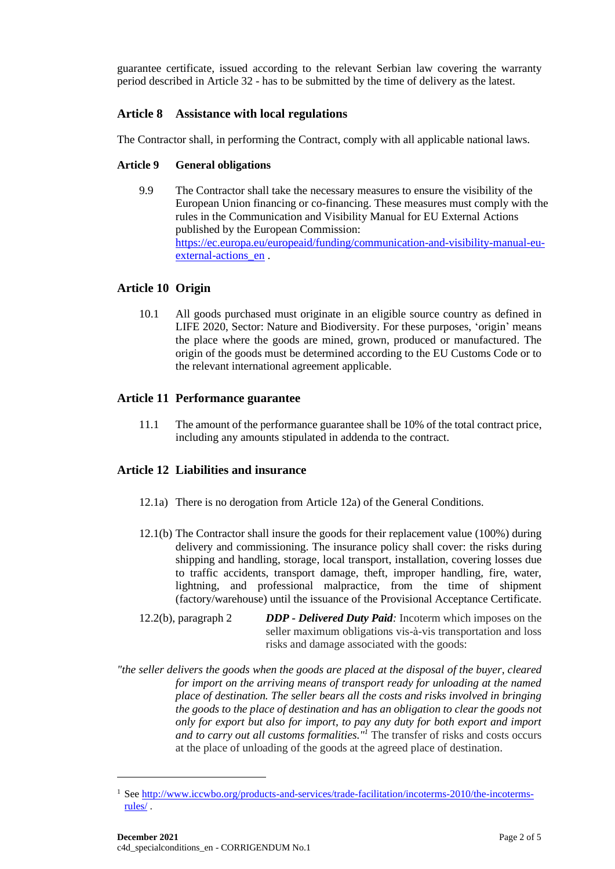guarantee certificate, issued according to the relevant Serbian law covering the warranty period described in Article 32 - has to be submitted by the time of delivery as the latest.

# **Article 8 Assistance with local regulations**

The Contractor shall, in performing the Contract, comply with all applicable national laws.

## **Article 9 General obligations**

9.9 The Contractor shall take the necessary measures to ensure the visibility of the European Union financing or co-financing. These measures must comply with the rules in the Communication and Visibility Manual for EU External Actions published by the European Commission: [https://ec.europa.eu/europeaid/funding/communication-and-visibility-manual-eu](https://ec.europa.eu/europeaid/funding/communication-and-visibility-manual-eu-external-actions_en)external-actions en .

# **Article 10 Origin**

10.1 All goods purchased must originate in an eligible source country as defined in LIFE 2020, Sector: Nature and Biodiversity. For these purposes, 'origin' means the place where the goods are mined, grown, produced or manufactured. The origin of the goods must be determined according to the EU Customs Code or to the relevant international agreement applicable.

# **Article 11 Performance guarantee**

11.1 The amount of the performance guarantee shall be 10% of the total contract price, including any amounts stipulated in addenda to the contract.

# **Article 12 Liabilities and insurance**

- 12.1a) There is no derogation from Article 12a) of the General Conditions.
- 12.1(b) The Contractor shall insure the goods for their replacement value (100%) during delivery and commissioning. The insurance policy shall cover: the risks during shipping and handling, storage, local transport, installation, covering losses due to traffic accidents, transport damage, theft, improper handling, fire, water, lightning, and professional malpractice, from the time of shipment (factory/warehouse) until the issuance of the Provisional Acceptance Certificate.
- 12.2(b), paragraph 2 *DDP - Delivered Duty Paid:* Incoterm which imposes on the seller maximum obligations vis-à-vis transportation and loss risks and damage associated with the goods:
- *"the seller delivers the goods when the goods are placed at the disposal of the buyer, cleared for import on the arriving means of transport ready for unloading at the named place of destination. The seller bears all the costs and risks involved in bringing the goods to the place of destination and has an obligation to clear the goods not only for export but also for import, to pay any duty for both export and import and to carry out all customs formalities."<sup>1</sup>* The transfer of risks and costs occurs at the place of unloading of the goods at the agreed place of destination.

<sup>&</sup>lt;sup>1</sup> See [http://www.iccwbo.org/products-and-services/trade-facilitation/incoterms-2010/the-incoterms](http://www.iccwbo.org/products-and-services/trade-facilitation/incoterms-2010/the-incoterms-rules/)[rules/](http://www.iccwbo.org/products-and-services/trade-facilitation/incoterms-2010/the-incoterms-rules/) .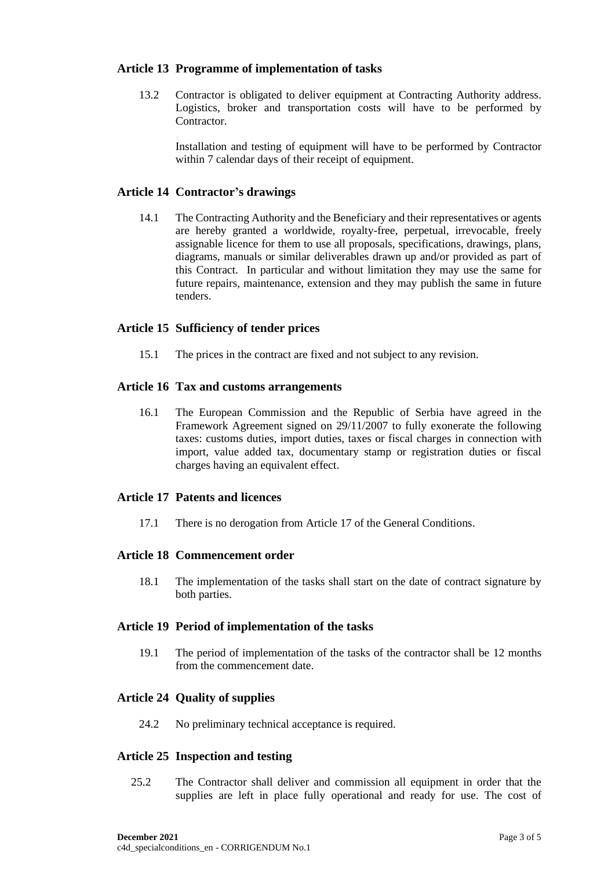## **Article 13 Programme of implementation of tasks**

13.2 Contractor is obligated to deliver equipment at Contracting Authority address. Logistics, broker and transportation costs will have to be performed by **Contractor** 

Installation and testing of equipment will have to be performed by Contractor within 7 calendar days of their receipt of equipment.

## **Article 14 Contractor's drawings**

14.1 The Contracting Authority and the Beneficiary and their representatives or agents are hereby granted a worldwide, royalty-free, perpetual, irrevocable, freely assignable licence for them to use all proposals, specifications, drawings, plans, diagrams, manuals or similar deliverables drawn up and/or provided as part of this Contract. In particular and without limitation they may use the same for future repairs, maintenance, extension and they may publish the same in future tenders.

## **Article 15 Sufficiency of tender prices**

15.1 The prices in the contract are fixed and not subject to any revision.

#### **Article 16 Tax and customs arrangements**

16.1 The European Commission and the Republic of Serbia have agreed in the Framework Agreement signed on 29/11/2007 to fully exonerate the following taxes: customs duties, import duties, taxes or fiscal charges in connection with import, value added tax, documentary stamp or registration duties or fiscal charges having an equivalent effect.

## **Article 17 Patents and licences**

17.1 There is no derogation from Article 17 of the General Conditions.

#### **Article 18 Commencement order**

18.1 The implementation of the tasks shall start on the date of contract signature by both parties.

## **Article 19 Period of implementation of the tasks**

19.1 The period of implementation of the tasks of the contractor shall be 12 months from the commencement date.

#### **Article 24 Quality of supplies**

24.2 No preliminary technical acceptance is required.

#### **Article 25 Inspection and testing**

25.2 The Contractor shall deliver and commission all equipment in order that the supplies are left in place fully operational and ready for use. The cost of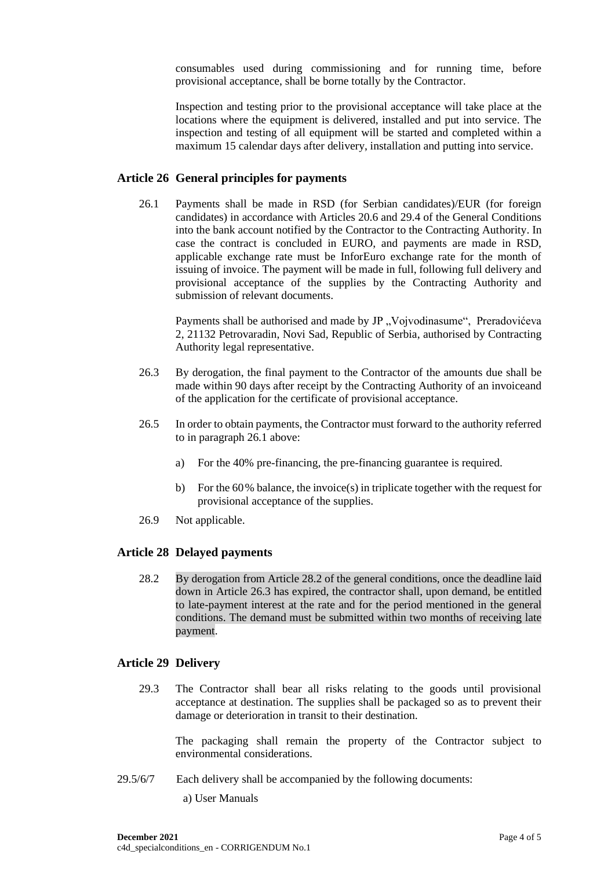consumables used during commissioning and for running time, before provisional acceptance, shall be borne totally by the Contractor.

Inspection and testing prior to the provisional acceptance will take place at the locations where the equipment is delivered, installed and put into service. The inspection and testing of all equipment will be started and completed within a maximum 15 calendar days after delivery, installation and putting into service.

## **Article 26 General principles for payments**

26.1 Payments shall be made in RSD (for Serbian candidates)/EUR (for foreign candidates) in accordance with Articles 20.6 and 29.4 of the General Conditions into the bank account notified by the Contractor to the Contracting Authority. In case the contract is concluded in EURO, and payments are made in RSD, applicable exchange rate must be InforEuro exchange rate for the month of issuing of invoice. The payment will be made in full, following full delivery and provisional acceptance of the supplies by the Contracting Authority and submission of relevant documents.

Payments shall be authorised and made by JP "Vojvodinasume", Preradovićeva 2, 21132 Petrovaradin, Novi Sad, Republic of Serbia, authorised by Contracting Authority legal representative.

- 26.3 By derogation, the final payment to the Contractor of the amounts due shall be made within 90 days after receipt by the Contracting Authority of an invoiceand of the application for the certificate of provisional acceptance.
- 26.5 In order to obtain payments, the Contractor must forward to the authority referred to in paragraph 26.1 above:
	- a) For the 40% pre-financing, the pre-financing guarantee is required.
	- b) For the 60% balance, the invoice(s) in triplicate together with the request for provisional acceptance of the supplies.
- 26.9 Not applicable.

#### **Article 28 Delayed payments**

28.2 By derogation from Article 28.2 of the general conditions, once the deadline laid down in Article 26.3 has expired, the contractor shall, upon demand, be entitled to late-payment interest at the rate and for the period mentioned in the general conditions. The demand must be submitted within two months of receiving late payment.

#### **Article 29 Delivery**

29.3 The Contractor shall bear all risks relating to the goods until provisional acceptance at destination. The supplies shall be packaged so as to prevent their damage or deterioration in transit to their destination.

The packaging shall remain the property of the Contractor subject to environmental considerations.

- 29.5/6/7 Each delivery shall be accompanied by the following documents:
	- a) User Manuals